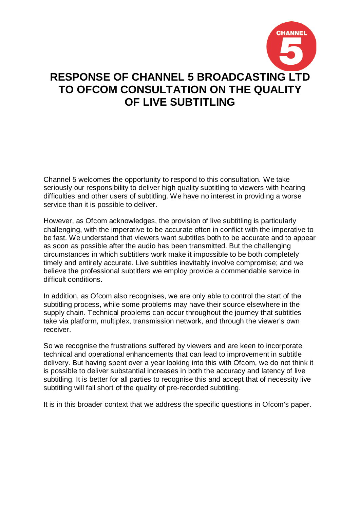

Channel 5 welcomes the opportunity to respond to this consultation. We take seriously our responsibility to deliver high quality subtitling to viewers with hearing difficulties and other users of subtitling. We have no interest in providing a worse service than it is possible to deliver.

However, as Ofcom acknowledges, the provision of live subtitling is particularly challenging, with the imperative to be accurate often in conflict with the imperative to be fast. We understand that viewers want subtitles both to be accurate and to appear as soon as possible after the audio has been transmitted. But the challenging circumstances in which subtitlers work make it impossible to be both completely timely and entirely accurate. Live subtitles inevitably involve compromise; and we believe the professional subtitlers we employ provide a commendable service in difficult conditions.

In addition, as Ofcom also recognises, we are only able to control the start of the subtitling process, while some problems may have their source elsewhere in the supply chain. Technical problems can occur throughout the journey that subtitles take via platform, multiplex, transmission network, and through the viewer's own receiver.

So we recognise the frustrations suffered by viewers and are keen to incorporate technical and operational enhancements that can lead to improvement in subtitle delivery. But having spent over a year looking into this with Ofcom, we do not think it is possible to deliver substantial increases in both the accuracy and latency of live subtitling. It is better for all parties to recognise this and accept that of necessity live subtitling will fall short of the quality of pre-recorded subtitling.

It is in this broader context that we address the specific questions in Ofcom's paper.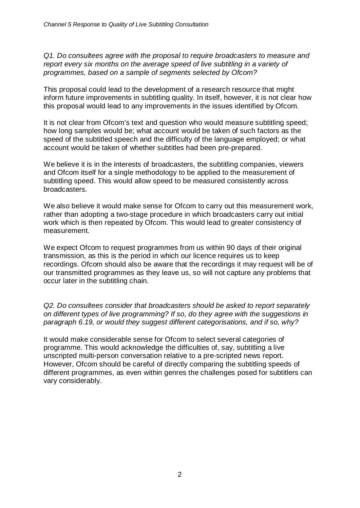*Q1. Do consultees agree with the proposal to require broadcasters to measure and report every six months on the average speed of live subtitling in a variety of programmes, based on a sample of segments selected by Ofcom?*

This proposal could lead to the development of a research resource that might inform future improvements in subtitling quality. In itself, however, it is not clear how this proposal would lead to any improvements in the issues identified by Ofcom.

It is not clear from Ofcom's text and question who would measure subtitling speed; how long samples would be; what account would be taken of such factors as the speed of the subtitled speech and the difficulty of the language employed; or what account would be taken of whether subtitles had been pre-prepared.

We believe it is in the interests of broadcasters, the subtitling companies, viewers and Ofcom itself for a single methodology to be applied to the measurement of subtitling speed. This would allow speed to be measured consistently across broadcasters.

We also believe it would make sense for Ofcom to carry out this measurement work, rather than adopting a two-stage procedure in which broadcasters carry out initial work which is then repeated by Ofcom. This would lead to greater consistency of measurement.

We expect Ofcom to request programmes from us within 90 days of their original transmission, as this is the period in which our licence requires us to keep recordings. Ofcom should also be aware that the recordings it may request will be of our transmitted programmes as they leave us, so will not capture any problems that occur later in the subtitling chain.

*Q2. Do consultees consider that broadcasters should be asked to report separately on different types of live programming? If so, do they agree with the suggestions in paragraph 6.19, or would they suggest different categorisations, and if so, why?*

It would make considerable sense for Ofcom to select several categories of programme. This would acknowledge the difficulties of, say, subtitling a live unscripted multi-person conversation relative to a pre-scripted news report. However, Ofcom should be careful of directly comparing the subtitling speeds of different programmes, as even within genres the challenges posed for subtitlers can vary considerably.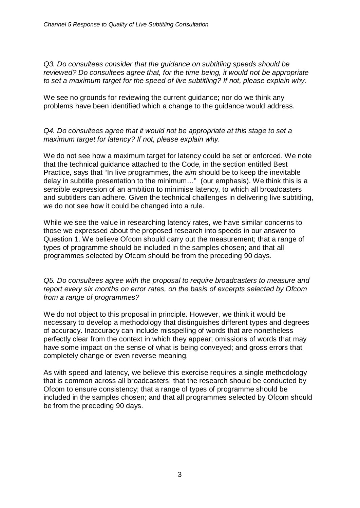*Q3. Do consultees consider that the guidance on subtitling speeds should be reviewed? Do consultees agree that, for the time being, it would not be appropriate to set a maximum target for the speed of live subtitling? If not, please explain why.*

We see no grounds for reviewing the current guidance; nor do we think any problems have been identified which a change to the guidance would address.

## *Q4. Do consultees agree that it would not be appropriate at this stage to set a maximum target for latency? If not, please explain why.*

We do not see how a maximum target for latency could be set or enforced. We note that the technical guidance attached to the Code, in the section entitled Best Practice, says that "In live programmes, the *aim* should be to keep the inevitable delay in subtitle presentation to the minimum…" (our emphasis). We think this is a sensible expression of an ambition to minimise latency, to which all broadcasters and subtitlers can adhere. Given the technical challenges in delivering live subtitling, we do not see how it could be changed into a rule.

While we see the value in researching latency rates, we have similar concerns to those we expressed about the proposed research into speeds in our answer to Question 1. We believe Ofcom should carry out the measurement; that a range of types of programme should be included in the samples chosen; and that all programmes selected by Ofcom should be from the preceding 90 days.

## *Q5. Do consultees agree with the proposal to require broadcasters to measure and report every six months on error rates, on the basis of excerpts selected by Ofcom from a range of programmes?*

We do not object to this proposal in principle. However, we think it would be necessary to develop a methodology that distinguishes different types and degrees of accuracy. Inaccuracy can include misspelling of words that are nonetheless perfectly clear from the context in which they appear; omissions of words that may have some impact on the sense of what is being conveyed; and gross errors that completely change or even reverse meaning.

As with speed and latency, we believe this exercise requires a single methodology that is common across all broadcasters; that the research should be conducted by Ofcom to ensure consistency; that a range of types of programme should be included in the samples chosen; and that all programmes selected by Ofcom should be from the preceding 90 days.